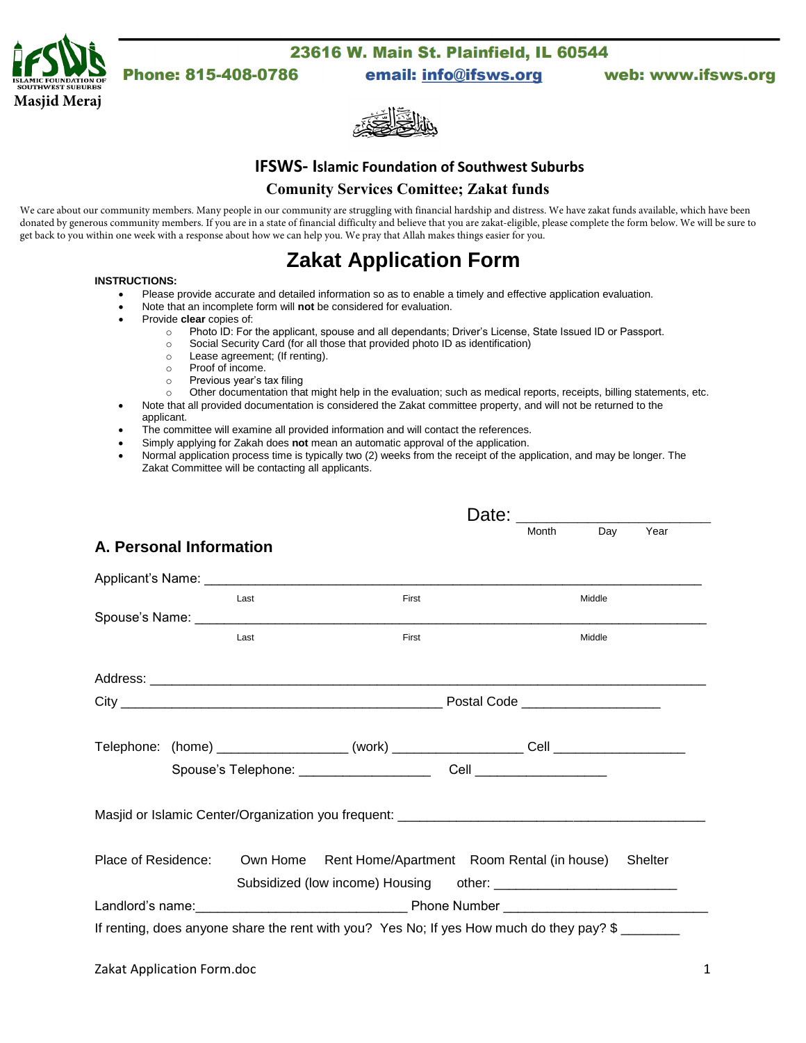

# Phone: 815-408-0786

23616 W. Main St. Plainfield, IL 60544

email: info@ifsws.org

web: www.ifsws.org



#### **IFSWS- Islamic Foundation of Southwest Suburbs**

#### **Comunity Services Comittee; Zakat funds**

We care about our community members. Many people in our community are struggling with financial hardship and distress. We have zakat funds available, which have been donated by generous community members. If you are in a state of financial difficulty and believe that you are zakat-eligible, please complete the form below. We will be sure to get back to you within one week with a response about how we can help you. We pray that Allah makes things easier for you.

# **Zakat Application Form**

#### **INSTRUCTIONS:**

- Please provide accurate and detailed information so as to enable a timely and effective application evaluation.
- Note that an incomplete form will **not** be considered for evaluation.
- Provide **clear** copies of:
	- o Photo ID: For the applicant, spouse and all dependants; Driver's License, State Issued ID or Passport.
	- o Social Security Card (for all those that provided photo ID as identification)
	- o Lease agreement; (If renting).
	- o Proof of income.
	- o Previous year's tax filing
	- o Other documentation that might help in the evaluation; such as medical reports, receipts, billing statements, etc.
- Note that all provided documentation is considered the Zakat committee property, and will not be returned to the applicant.
- The committee will examine all provided information and will contact the references.
- Simply applying for Zakah does **not** mean an automatic approval of the application.
- Normal application process time is typically two (2) weeks from the receipt of the application, and may be longer. The Zakat Committee will be contacting all applicants.

| A. Personal Information |      |                                                                                                                                                                                                                                      | Date: Month Day Year |
|-------------------------|------|--------------------------------------------------------------------------------------------------------------------------------------------------------------------------------------------------------------------------------------|----------------------|
|                         |      |                                                                                                                                                                                                                                      |                      |
|                         | Last | First                                                                                                                                                                                                                                | Middle               |
|                         |      | Spouse's Name: <u>contract and a series of the series of the series of the series of the series of the series of the series of the series of the series of the series of the series of the series of the series of the series of</u> |                      |
|                         | Last | First                                                                                                                                                                                                                                | Middle               |
|                         |      |                                                                                                                                                                                                                                      |                      |
|                         |      |                                                                                                                                                                                                                                      |                      |
|                         |      |                                                                                                                                                                                                                                      |                      |
|                         |      |                                                                                                                                                                                                                                      |                      |
|                         |      |                                                                                                                                                                                                                                      |                      |
|                         |      |                                                                                                                                                                                                                                      |                      |
| Place of Residence:     |      | Own Home Rent Home/Apartment Room Rental (in house)                                                                                                                                                                                  | Shelter              |
|                         |      |                                                                                                                                                                                                                                      |                      |
|                         |      |                                                                                                                                                                                                                                      |                      |
|                         |      | If renting, does anyone share the rent with you? Yes No; If yes How much do they pay? \$                                                                                                                                             |                      |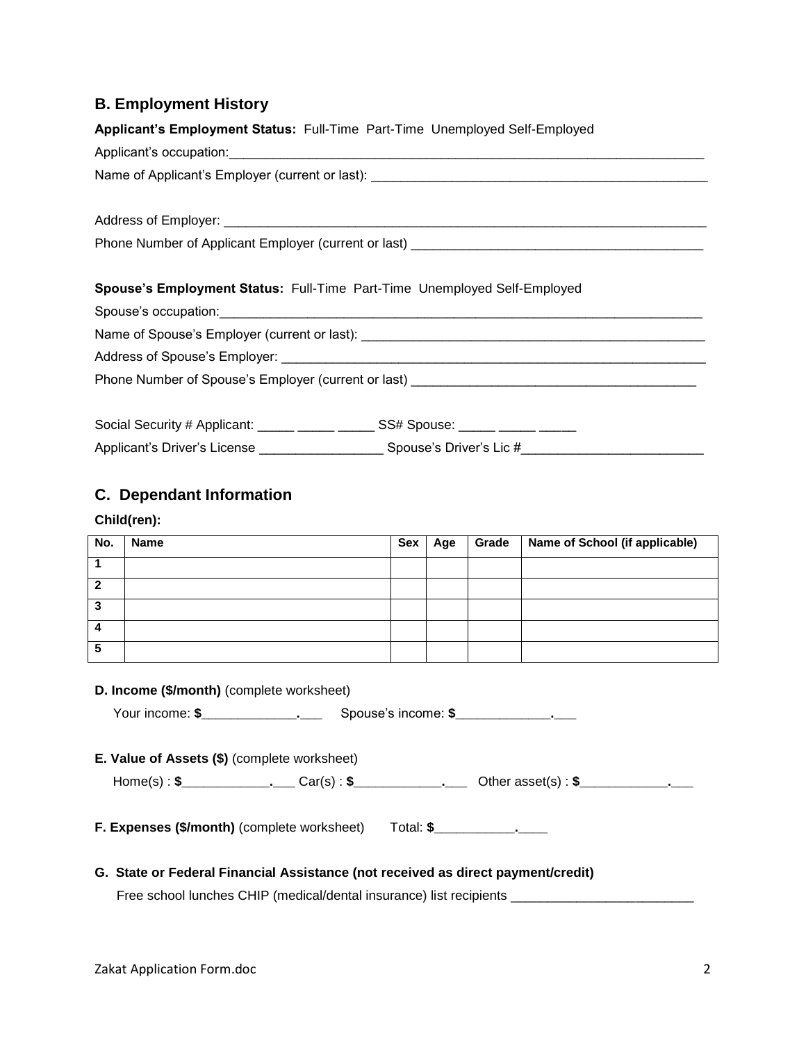### **B. Employment History**

| Applicant's Employment Status: Full-Time Part-Time Unemployed Self-Employed                                              |  |  |  |  |
|--------------------------------------------------------------------------------------------------------------------------|--|--|--|--|
| Applicant's occupation: <u>contract and contract and contract and contract and contract and contract and contract of</u> |  |  |  |  |
|                                                                                                                          |  |  |  |  |
|                                                                                                                          |  |  |  |  |
|                                                                                                                          |  |  |  |  |
|                                                                                                                          |  |  |  |  |
|                                                                                                                          |  |  |  |  |
| Spouse's Employment Status: Full-Time Part-Time Unemployed Self-Employed                                                 |  |  |  |  |
|                                                                                                                          |  |  |  |  |
|                                                                                                                          |  |  |  |  |
|                                                                                                                          |  |  |  |  |
|                                                                                                                          |  |  |  |  |
|                                                                                                                          |  |  |  |  |
| Social Security # Applicant: _____ _____ ______ SS# Spouse: _____ ____ _____ ____                                        |  |  |  |  |
|                                                                                                                          |  |  |  |  |

### **C. Dependant Information**

#### **Child(ren):**

| No. | <b>Name</b> | Sex | Age | <b>Grade</b> | Name of School (if applicable) |
|-----|-------------|-----|-----|--------------|--------------------------------|
|     |             |     |     |              |                                |
| ◠   |             |     |     |              |                                |
| っ   |             |     |     |              |                                |
|     |             |     |     |              |                                |
| 5   |             |     |     |              |                                |

| D. Income (\$/month) (complete worksheet)                                           |  |  |  |  |  |
|-------------------------------------------------------------------------------------|--|--|--|--|--|
| Your income: \$________________________________Spouse's income: \$_________________ |  |  |  |  |  |
|                                                                                     |  |  |  |  |  |
| E. Value of Assets (\$) (complete worksheet)                                        |  |  |  |  |  |
|                                                                                     |  |  |  |  |  |
| <b>F. Expenses (\$/month)</b> (complete worksheet) Total: \$                        |  |  |  |  |  |
| G. State or Federal Financial Assistance (not received as direct payment/credit)    |  |  |  |  |  |

Free school lunches CHIP (medical/dental insurance) list recipients \_\_\_\_\_\_\_\_\_\_\_\_\_\_\_\_\_\_\_\_\_\_\_\_\_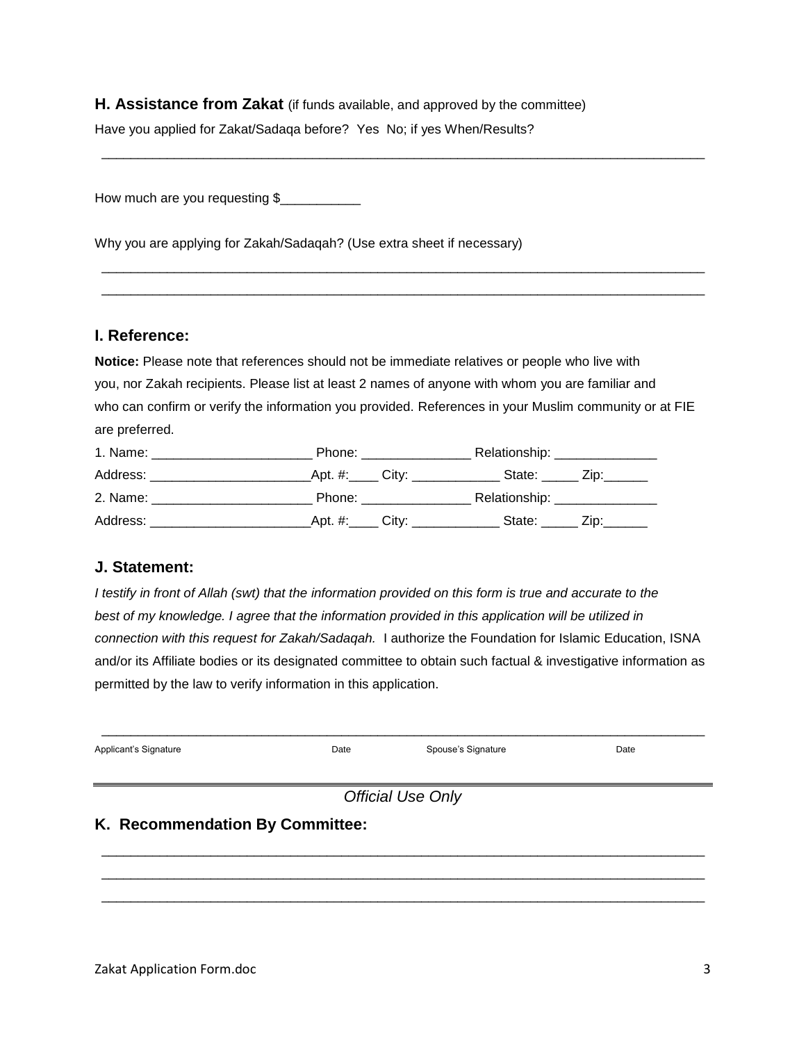**H. Assistance from Zakat** (if funds available, and approved by the committee)

Have you applied for Zakat/Sadaqa before? Yes No; if yes When/Results?

How much are you requesting \$

Why you are applying for Zakah/Sadaqah? (Use extra sheet if necessary)

#### **I. Reference:**

**Notice:** Please note that references should not be immediate relatives or people who live with you, nor Zakah recipients. Please list at least 2 names of anyone with whom you are familiar and who can confirm or verify the information you provided. References in your Muslim community or at FIE are preferred.

\_\_\_\_\_\_\_\_\_\_\_\_\_\_\_\_\_\_\_\_\_\_\_\_\_\_\_\_\_\_\_\_\_\_\_\_\_\_\_\_\_\_\_\_\_\_\_\_\_\_\_\_\_\_\_\_\_\_\_\_\_\_\_\_\_\_\_\_\_\_\_\_\_\_\_\_\_\_\_\_\_\_\_

\_\_\_\_\_\_\_\_\_\_\_\_\_\_\_\_\_\_\_\_\_\_\_\_\_\_\_\_\_\_\_\_\_\_\_\_\_\_\_\_\_\_\_\_\_\_\_\_\_\_\_\_\_\_\_\_\_\_\_\_\_\_\_\_\_\_\_\_\_\_\_\_\_\_\_\_\_\_\_\_\_\_\_ \_\_\_\_\_\_\_\_\_\_\_\_\_\_\_\_\_\_\_\_\_\_\_\_\_\_\_\_\_\_\_\_\_\_\_\_\_\_\_\_\_\_\_\_\_\_\_\_\_\_\_\_\_\_\_\_\_\_\_\_\_\_\_\_\_\_\_\_\_\_\_\_\_\_\_\_\_\_\_\_\_\_\_

| 1. Name:                                                                                                                                                                                                                       | Phone: the contract of the contract of the contract of the contract of the contract of the contract of the contract of the contract of the contract of the contract of the contract of the contract of the contract of the con |                                                                                                                                                                                                                                | Relationship: _______________                                 |  |
|--------------------------------------------------------------------------------------------------------------------------------------------------------------------------------------------------------------------------------|--------------------------------------------------------------------------------------------------------------------------------------------------------------------------------------------------------------------------------|--------------------------------------------------------------------------------------------------------------------------------------------------------------------------------------------------------------------------------|---------------------------------------------------------------|--|
| Address:                                                                                                                                                                                                                       |                                                                                                                                                                                                                                |                                                                                                                                                                                                                                | _Apt. #:_____ City: _______________ State: ______ Zip:_______ |  |
| 2. Name: the contract of the contract of the contract of the contract of the contract of the contract of the contract of the contract of the contract of the contract of the contract of the contract of the contract of the c |                                                                                                                                                                                                                                | Phone: the contract of the contract of the contract of the contract of the contract of the contract of the contract of the contract of the contract of the contract of the contract of the contract of the contract of the con | Relationship: ________________                                |  |
| Address:                                                                                                                                                                                                                       |                                                                                                                                                                                                                                | Apt. #:______ City: ___________                                                                                                                                                                                                | State: $\angle$ Zip: $\angle$                                 |  |

#### **J. Statement:**

*I testify in front of Allah (swt) that the information provided on this form is true and accurate to the best of my knowledge. I agree that the information provided in this application will be utilized in connection with this request for Zakah/Sadaqah.* I authorize the Foundation for Islamic Education, ISNA and/or its Affiliate bodies or its designated committee to obtain such factual & investigative information as permitted by the law to verify information in this application.

| Applicant's Signature           | Date | Spouse's Signature | Date |  |  |  |
|---------------------------------|------|--------------------|------|--|--|--|
| <b>Official Use Only</b>        |      |                    |      |  |  |  |
| K. Recommendation By Committee: |      |                    |      |  |  |  |
|                                 |      |                    |      |  |  |  |

\_\_\_\_\_\_\_\_\_\_\_\_\_\_\_\_\_\_\_\_\_\_\_\_\_\_\_\_\_\_\_\_\_\_\_\_\_\_\_\_\_\_\_\_\_\_\_\_\_\_\_\_\_\_\_\_\_\_\_\_\_\_\_\_\_\_\_\_\_\_\_\_\_\_\_\_\_\_\_\_\_\_\_ \_\_\_\_\_\_\_\_\_\_\_\_\_\_\_\_\_\_\_\_\_\_\_\_\_\_\_\_\_\_\_\_\_\_\_\_\_\_\_\_\_\_\_\_\_\_\_\_\_\_\_\_\_\_\_\_\_\_\_\_\_\_\_\_\_\_\_\_\_\_\_\_\_\_\_\_\_\_\_\_\_\_\_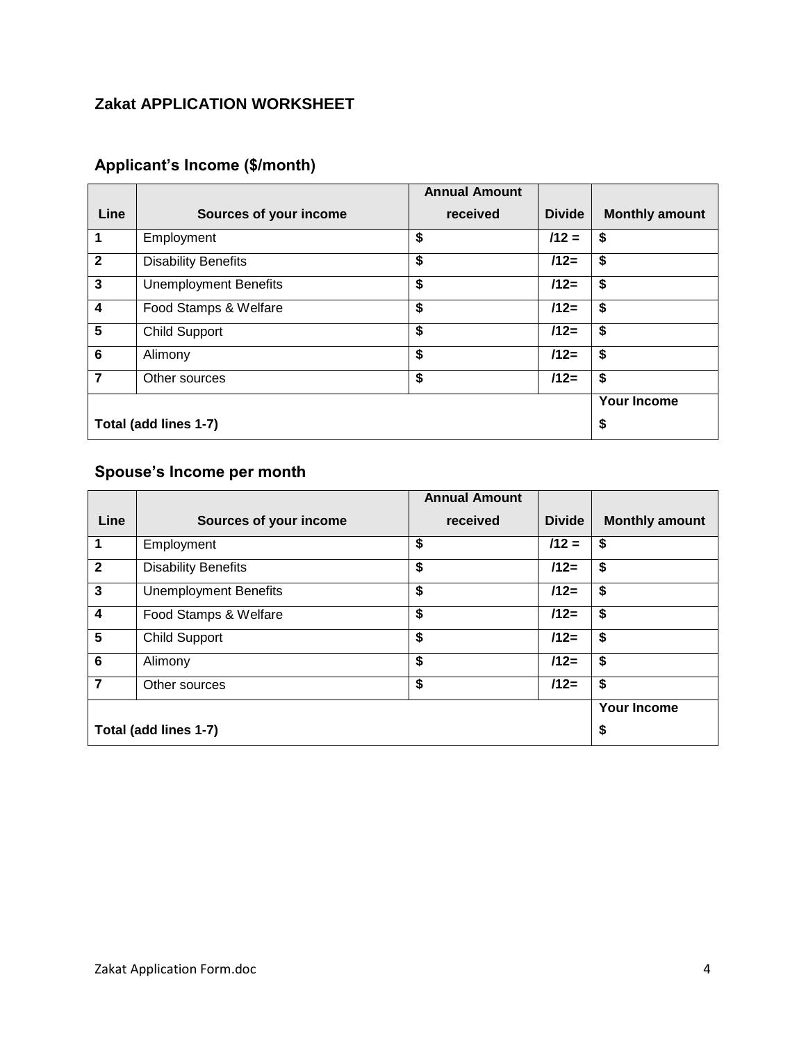## **Zakat APPLICATION WORKSHEET**

# **Applicant's Income (\$/month)**

|                         |                              | <b>Annual Amount</b> |               |                       |
|-------------------------|------------------------------|----------------------|---------------|-----------------------|
| Line                    | Sources of your income       | received             | <b>Divide</b> | <b>Monthly amount</b> |
|                         | Employment                   | \$                   | $112 =$       | \$                    |
| $\mathbf{2}$            | <b>Disability Benefits</b>   | \$                   | $112=$        | \$                    |
| 3                       | <b>Unemployment Benefits</b> | \$                   | $/12=$        | \$                    |
| $\overline{\mathbf{4}}$ | Food Stamps & Welfare        | \$                   | $/12=$        | \$                    |
| 5                       | <b>Child Support</b>         | \$                   | $112=$        | \$                    |
| $6\phantom{1}6$         | Alimony                      | \$                   | $/12=$        | \$                    |
| $\overline{7}$          | Other sources                | \$                   | $/12=$        | \$                    |
|                         |                              |                      |               | <b>Your Income</b>    |
|                         | Total (add lines 1-7)        |                      |               | \$                    |

# **Spouse's Income per month**

|                 |                              | <b>Annual Amount</b> |               |                       |
|-----------------|------------------------------|----------------------|---------------|-----------------------|
| Line            | Sources of your income       | received             | <b>Divide</b> | <b>Monthly amount</b> |
|                 | Employment                   | \$                   | $112 =$       | \$                    |
| $\mathbf{2}$    | <b>Disability Benefits</b>   | \$                   | $112=$        | \$                    |
| 3               | <b>Unemployment Benefits</b> | \$                   | $112=$        | \$                    |
| 4               | Food Stamps & Welfare        | \$                   | $/12=$        | \$                    |
| $5\phantom{.0}$ | <b>Child Support</b>         | \$                   | $112=$        | \$                    |
| $6\phantom{1}$  | Alimony                      | \$                   | $112=$        | \$                    |
| $\overline{7}$  | Other sources                | \$                   | $/12=$        | \$                    |
|                 |                              |                      |               | <b>Your Income</b>    |
|                 | Total (add lines 1-7)        |                      |               | \$                    |